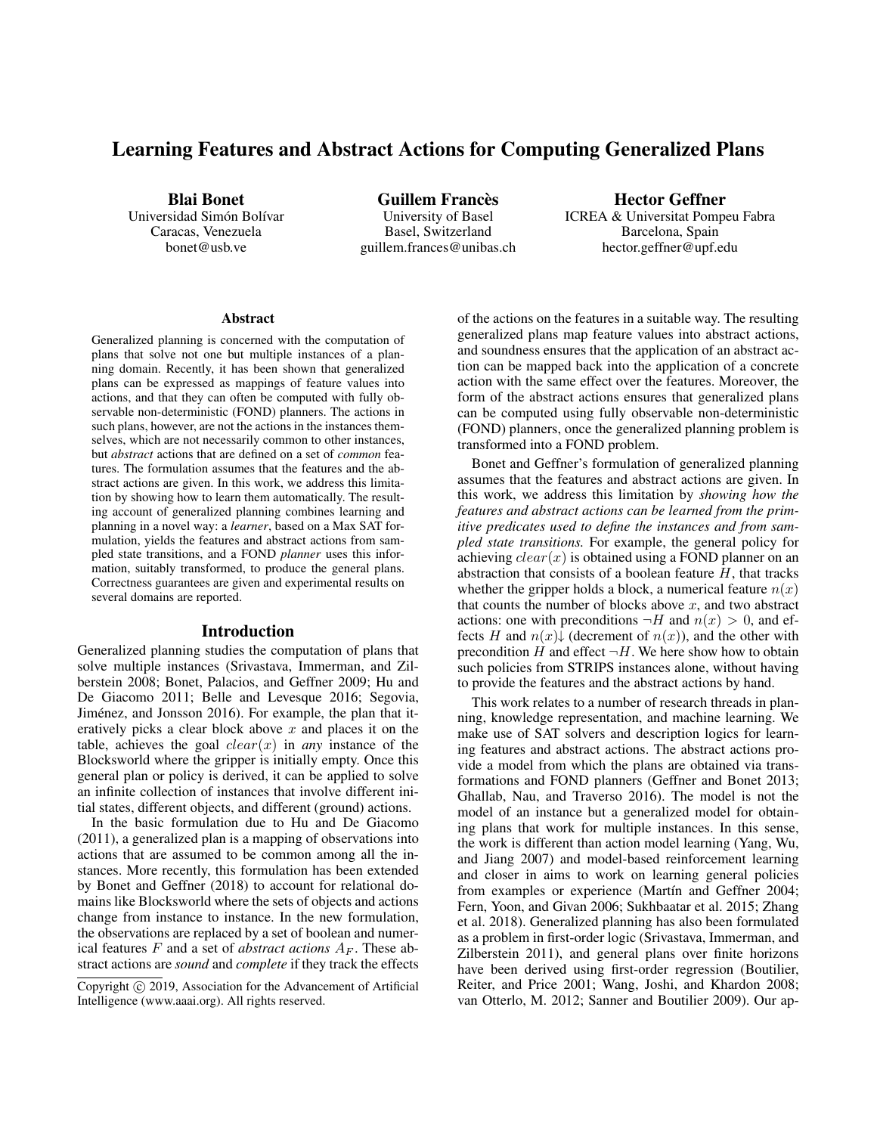# Learning Features and Abstract Actions for Computing Generalized Plans

Blai Bonet Universidad Simón Bolívar

Caracas, Venezuela bonet@usb.ve

Guillem Francès University of Basel Basel, Switzerland guillem.frances@unibas.ch

Hector Geffner ICREA & Universitat Pompeu Fabra Barcelona, Spain hector.geffner@upf.edu

#### Abstract

Generalized planning is concerned with the computation of plans that solve not one but multiple instances of a planning domain. Recently, it has been shown that generalized plans can be expressed as mappings of feature values into actions, and that they can often be computed with fully observable non-deterministic (FOND) planners. The actions in such plans, however, are not the actions in the instances themselves, which are not necessarily common to other instances, but *abstract* actions that are defined on a set of *common* features. The formulation assumes that the features and the abstract actions are given. In this work, we address this limitation by showing how to learn them automatically. The resulting account of generalized planning combines learning and planning in a novel way: a *learner*, based on a Max SAT formulation, yields the features and abstract actions from sampled state transitions, and a FOND *planner* uses this information, suitably transformed, to produce the general plans. Correctness guarantees are given and experimental results on several domains are reported.

## Introduction

Generalized planning studies the computation of plans that solve multiple instances (Srivastava, Immerman, and Zilberstein 2008; Bonet, Palacios, and Geffner 2009; Hu and De Giacomo 2011; Belle and Levesque 2016; Segovia, Jiménez, and Jonsson 2016). For example, the plan that iteratively picks a clear block above  $x$  and places it on the table, achieves the goal  $clear(x)$  in *any* instance of the Blocksworld where the gripper is initially empty. Once this general plan or policy is derived, it can be applied to solve an infinite collection of instances that involve different initial states, different objects, and different (ground) actions.

In the basic formulation due to Hu and De Giacomo (2011), a generalized plan is a mapping of observations into actions that are assumed to be common among all the instances. More recently, this formulation has been extended by Bonet and Geffner (2018) to account for relational domains like Blocksworld where the sets of objects and actions change from instance to instance. In the new formulation, the observations are replaced by a set of boolean and numerical features  $F$  and a set of *abstract actions*  $A_F$ . These abstract actions are *sound* and *complete* if they track the effects

of the actions on the features in a suitable way. The resulting generalized plans map feature values into abstract actions, and soundness ensures that the application of an abstract action can be mapped back into the application of a concrete action with the same effect over the features. Moreover, the form of the abstract actions ensures that generalized plans can be computed using fully observable non-deterministic (FOND) planners, once the generalized planning problem is transformed into a FOND problem.

Bonet and Geffner's formulation of generalized planning assumes that the features and abstract actions are given. In this work, we address this limitation by *showing how the features and abstract actions can be learned from the primitive predicates used to define the instances and from sampled state transitions.* For example, the general policy for achieving  $clear(x)$  is obtained using a FOND planner on an abstraction that consists of a boolean feature  $H$ , that tracks whether the gripper holds a block, a numerical feature  $n(x)$ that counts the number of blocks above  $x$ , and two abstract actions: one with preconditions  $\neg H$  and  $n(x) > 0$ , and effects H and  $n(x)$  (decrement of  $n(x)$ ), and the other with precondition H and effect  $\neg H$ . We here show how to obtain such policies from STRIPS instances alone, without having to provide the features and the abstract actions by hand.

This work relates to a number of research threads in planning, knowledge representation, and machine learning. We make use of SAT solvers and description logics for learning features and abstract actions. The abstract actions provide a model from which the plans are obtained via transformations and FOND planners (Geffner and Bonet 2013; Ghallab, Nau, and Traverso 2016). The model is not the model of an instance but a generalized model for obtaining plans that work for multiple instances. In this sense, the work is different than action model learning (Yang, Wu, and Jiang 2007) and model-based reinforcement learning and closer in aims to work on learning general policies from examples or experience (Martín and Geffner 2004; Fern, Yoon, and Givan 2006; Sukhbaatar et al. 2015; Zhang et al. 2018). Generalized planning has also been formulated as a problem in first-order logic (Srivastava, Immerman, and Zilberstein 2011), and general plans over finite horizons have been derived using first-order regression (Boutilier, Reiter, and Price 2001; Wang, Joshi, and Khardon 2008; van Otterlo, M. 2012; Sanner and Boutilier 2009). Our ap-

Copyright (c) 2019, Association for the Advancement of Artificial Intelligence (www.aaai.org). All rights reserved.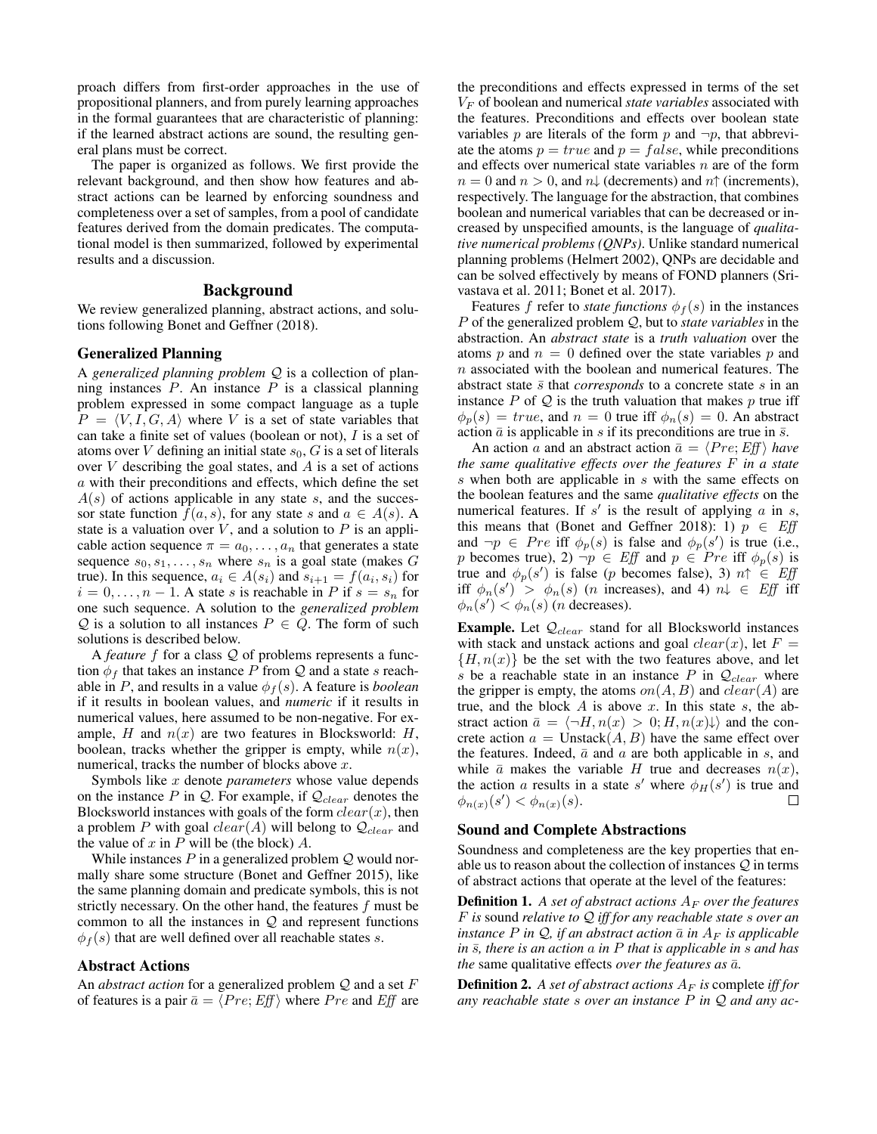proach differs from first-order approaches in the use of propositional planners, and from purely learning approaches in the formal guarantees that are characteristic of planning: if the learned abstract actions are sound, the resulting general plans must be correct.

The paper is organized as follows. We first provide the relevant background, and then show how features and abstract actions can be learned by enforcing soundness and completeness over a set of samples, from a pool of candidate features derived from the domain predicates. The computational model is then summarized, followed by experimental results and a discussion.

# Background

We review generalized planning, abstract actions, and solutions following Bonet and Geffner (2018).

## Generalized Planning

A *generalized planning problem* Q is a collection of planning instances  $P$ . An instance  $P$  is a classical planning problem expressed in some compact language as a tuple  $P = \langle V, I, G, A \rangle$  where V is a set of state variables that can take a finite set of values (boolean or not),  $I$  is a set of atoms over  $V$  defining an initial state  $s_0$ ,  $G$  is a set of literals over  $V$  describing the goal states, and  $A$  is a set of actions a with their preconditions and effects, which define the set  $A(s)$  of actions applicable in any state s, and the successor state function  $f(a, s)$ , for any state s and  $a \in A(s)$ . A state is a valuation over  $V$ , and a solution to  $P$  is an applicable action sequence  $\pi = a_0, \dots, a_n$  that generates a state sequence  $s_0, s_1, \ldots, s_n$  where  $s_n$  is a goal state (makes G true). In this sequence,  $a_i \in A(s_i)$  and  $s_{i+1} = f(a_i, s_i)$  for  $i = 0, \ldots, n - 1$ . A state s is reachable in P if  $s = s_n$  for one such sequence. A solution to the *generalized problem* Q is a solution to all instances  $P \in Q$ . The form of such solutions is described below.

A *feature* f for a class Q of problems represents a function  $\phi_f$  that takes an instance P from Q and a state s reachable in P, and results in a value  $\phi_f(s)$ . A feature is *boolean* if it results in boolean values, and *numeric* if it results in numerical values, here assumed to be non-negative. For example, H and  $n(x)$  are two features in Blocksworld: H, boolean, tracks whether the gripper is empty, while  $n(x)$ , numerical, tracks the number of blocks above x.

Symbols like x denote *parameters* whose value depends on the instance  $P$  in  $Q$ . For example, if  $Q_{clear}$  denotes the Blocksworld instances with goals of the form  $clear(x)$ , then a problem P with goal  $clear(A)$  will belong to  $Q_{clear}$  and the value of  $x$  in  $P$  will be (the block)  $A$ .

While instances  $P$  in a generalized problem  $Q$  would normally share some structure (Bonet and Geffner 2015), like the same planning domain and predicate symbols, this is not strictly necessary. On the other hand, the features  $f$  must be common to all the instances in  $Q$  and represent functions  $\phi_f(s)$  that are well defined over all reachable states s.

## Abstract Actions

An *abstract action* for a generalized problem Q and a set F of features is a pair  $\bar{a} = \langle Pre; Eff \rangle$  where P re and Eff are the preconditions and effects expressed in terms of the set  $V_F$  of boolean and numerical *state variables* associated with the features. Preconditions and effects over boolean state variables p are literals of the form p and  $\neg p$ , that abbreviate the atoms  $p = true$  and  $p = false$ , while preconditions and effects over numerical state variables  $n$  are of the form  $n = 0$  and  $n > 0$ , and  $n\downarrow$  (decrements) and  $n\uparrow$  (increments), respectively. The language for the abstraction, that combines boolean and numerical variables that can be decreased or increased by unspecified amounts, is the language of *qualitative numerical problems (QNPs)*. Unlike standard numerical planning problems (Helmert 2002), QNPs are decidable and can be solved effectively by means of FOND planners (Srivastava et al. 2011; Bonet et al. 2017).

Features f refer to *state functions*  $\phi_f(s)$  in the instances P of the generalized problem Q, but to *state variables* in the abstraction. An *abstract state* is a *truth valuation* over the atoms p and  $n = 0$  defined over the state variables p and n associated with the boolean and numerical features. The abstract state  $\bar{s}$  that *corresponds* to a concrete state s in an instance  $P$  of  $Q$  is the truth valuation that makes  $p$  true iff  $\phi_p(s) = true$ , and  $n = 0$  true iff  $\phi_n(s) = 0$ . An abstract action  $\bar{a}$  is applicable in s if its preconditions are true in  $\bar{s}$ .

An action a and an abstract action  $\bar{a} = \langle Pre; Eff \rangle$  *have the same qualitative effects over the features* F *in a state* s when both are applicable in s with the same effects on the boolean features and the same *qualitative effects* on the numerical features. If  $s'$  is the result of applying  $a$  in  $s$ , this means that (Bonet and Geffner 2018): 1)  $p \in Eff$ and  $\neg p \in Pre$  iff  $\phi_p(s)$  is false and  $\phi_p(s')$  is true (i.e., p becomes true), 2)  $\neg p \in Eff$  and  $p \in Pre$  iff  $\phi_p(s)$  is true and  $\phi_p(s')$  is false (p becomes false), 3)  $n \uparrow \in Eff$ iff  $\phi_n(s') > \phi_n(s)$  (*n* increases), and 4)  $n \downarrow \in Eff$  iff  $\phi_n(s') < \phi_n(s)$  (*n* decreases).

**Example.** Let  $Q_{clear}$  stand for all Blocksworld instances with stack and unstack actions and goal  $clear(x)$ , let  $F =$  ${H, n(x)}$  be the set with the two features above, and let s be a reachable state in an instance P in  $Q_{clear}$  where the gripper is empty, the atoms  $on(A, B)$  and  $clear(A)$  are true, and the block  $A$  is above  $x$ . In this state  $s$ , the abstract action  $\bar{a} = \langle \neg H, n(x) > 0; H, n(x) \rangle$  and the concrete action  $a =$  Unstack $(A, B)$  have the same effect over the features. Indeed,  $\bar{a}$  and  $a$  are both applicable in s, and while  $\bar{a}$  makes the variable H true and decreases  $n(x)$ , the action a results in a state s' where  $\phi_H(s')$  is true and  $\phi_{n(x)}(s') < \phi_{n(x)}(s)$ . П

## Sound and Complete Abstractions

Soundness and completeness are the key properties that enable us to reason about the collection of instances  $Q$  in terms of abstract actions that operate at the level of the features:

**Definition 1.** A set of abstract actions  $A_F$  over the features F *is* sound *relative to* Q *iff for any reachable state* s *over an instance* P in  $\mathcal{Q}$ , if an abstract action  $\bar{a}$  in  $A_F$  is applicable *in*  $\overline{s}$ *, there is an action* a *in* P *that is applicable in* s *and has the* same qualitative effects *over the features as*  $\bar{a}$ *.* 

**Definition 2.** A set of abstract actions  $A_F$  is complete *iff for any reachable state* s *over an instance* P *in* Q *and any ac-*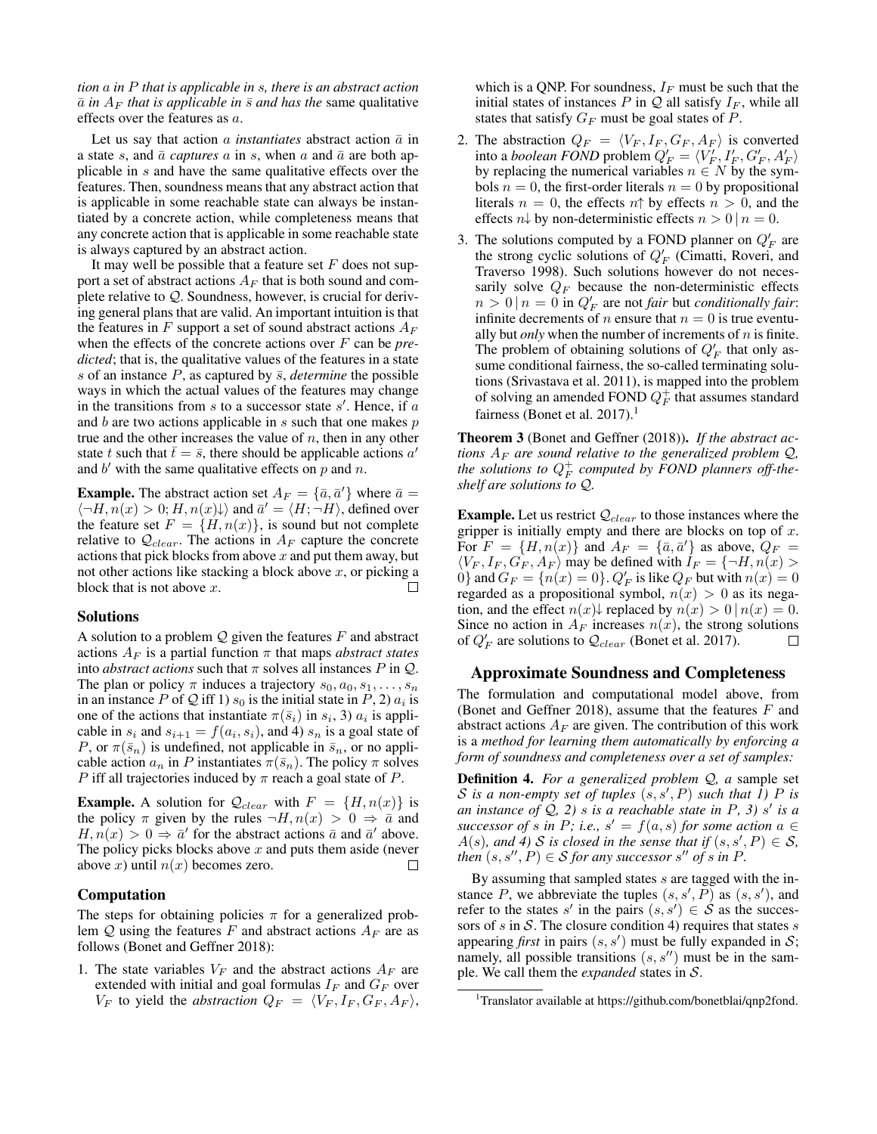*tion* a *in* P *that is applicable in* s*, there is an abstract action*  $\bar{a}$  *in*  $A_F$  *that is applicable in*  $\bar{s}$  *and has the* same qualitative effects over the features as a.

Let us say that action a *instantiates* abstract action  $\bar{a}$  in a state s, and  $\bar{a}$  *captures* a in s, when a and  $\bar{a}$  are both applicable in s and have the same qualitative effects over the features. Then, soundness means that any abstract action that is applicable in some reachable state can always be instantiated by a concrete action, while completeness means that any concrete action that is applicable in some reachable state is always captured by an abstract action.

It may well be possible that a feature set  $F$  does not support a set of abstract actions  $A_F$  that is both sound and complete relative to Q. Soundness, however, is crucial for deriving general plans that are valid. An important intuition is that the features in F support a set of sound abstract actions  $A_F$ when the effects of the concrete actions over F can be *predicted*; that is, the qualitative values of the features in a state s of an instance  $P$ , as captured by  $\bar{s}$ , *determine* the possible ways in which the actual values of the features may change in the transitions from  $s$  to a successor state  $s'$ . Hence, if  $a$ and  $b$  are two actions applicable in  $s$  such that one makes  $p$ true and the other increases the value of  $n$ , then in any other state t such that  $\bar{t} = \bar{s}$ , there should be applicable actions a' and  $b'$  with the same qualitative effects on  $p$  and  $n$ .

**Example.** The abstract action set  $A_F = {\{\bar{a}, \bar{a}'\}}$  where  $\bar{a} =$  $\langle \neg H, n(x) \rangle > 0; H, n(x) \rangle$  and  $\overline{a}' = \langle H, \neg H \rangle$ , defined over the feature set  $F = \{H, n(x)\}\$ , is sound but not complete relative to  $Q_{clear}$ . The actions in  $A_F$  capture the concrete actions that pick blocks from above  $x$  and put them away, but not other actions like stacking a block above  $x$ , or picking a block that is not above  $x$ .

#### Solutions

A solution to a problem  $Q$  given the features  $F$  and abstract actions  $A_F$  is a partial function  $\pi$  that maps *abstract states* into *abstract actions* such that  $\pi$  solves all instances P in Q. The plan or policy  $\pi$  induces a trajectory  $s_0, a_0, s_1, \ldots, s_n$ in an instance P of Q iff 1)  $s_0$  is the initial state in P, 2)  $a_i$  is one of the actions that instantiate  $\pi(\bar{s}_i)$  in  $s_i$ , 3)  $a_i$  is applicable in  $s_i$  and  $s_{i+1} = f(a_i, s_i)$ , and 4)  $s_n$  is a goal state of P, or  $\pi(\bar{s}_n)$  is undefined, not applicable in  $\bar{s}_n$ , or no applicable action  $a_n$  in P instantiates  $\pi(\bar{s}_n)$ . The policy  $\pi$  solves *P* iff all trajectories induced by  $\pi$  reach a goal state of *P*.

**Example.** A solution for  $Q_{clear}$  with  $F = \{H, n(x)\}\$ is the policy  $\pi$  given by the rules  $\neg H, n(x) > 0 \Rightarrow \bar{a}$  and  $H, n(x) > 0 \Rightarrow \bar{a}$  for the abstract actions  $\bar{a}$  and  $\bar{a}$  above. The policy picks blocks above  $x$  and puts them aside (never above x) until  $n(x)$  becomes zero.  $\Box$ 

## Computation

The steps for obtaining policies  $\pi$  for a generalized problem  $Q$  using the features F and abstract actions  $A_F$  are as follows (Bonet and Geffner 2018):

1. The state variables  $V_F$  and the abstract actions  $A_F$  are extended with initial and goal formulas  $I_F$  and  $G_F$  over  $V_F$  to yield the *abstraction*  $Q_F = \langle V_F, I_F, G_F, A_F \rangle$ ,

which is a QNP. For soundness,  $I_F$  must be such that the initial states of instances P in  $Q$  all satisfy  $I_F$ , while all states that satisfy  $G_F$  must be goal states of  $P$ .

- 2. The abstraction  $Q_F = \langle V_F, I_F, G_F, A_F \rangle$  is converted into a *boolean FOND* problem  $Q'_F = \langle V'_F, I'_F, G'_F, A'_F \rangle$ by replacing the numerical variables  $n \in N$  by the symbols  $n = 0$ , the first-order literals  $n = 0$  by propositional literals  $n = 0$ , the effects  $n \uparrow$  by effects  $n > 0$ , and the effects  $n\downarrow$  by non-deterministic effects  $n > 0 | n = 0$ .
- 3. The solutions computed by a FOND planner on  $Q'_F$  are the strong cyclic solutions of  $Q'_F$  (Cimatti, Roveri, and Traverso 1998). Such solutions however do not necessarily solve  $Q_F$  because the non-deterministic effects  $n > 0 | n = 0$  in  $Q'_F$  are not *fair* but *conditionally fair*: infinite decrements of *n* ensure that  $n = 0$  is true eventually but *only* when the number of increments of  $n$  is finite. The problem of obtaining solutions of  $Q'_F$  that only assume conditional fairness, the so-called terminating solutions (Srivastava et al. 2011), is mapped into the problem of solving an amended FOND  $Q_F^+$  that assumes standard fairness (Bonet et al. 2017).<sup>1</sup>

Theorem 3 (Bonet and Geffner (2018)). *If the abstract actions*  $A_F$  *are sound relative to the generalized problem*  $Q$ , *the solutions to* Q + F *computed by FOND planners off-theshelf are solutions to* Q*.*

**Example.** Let us restrict  $Q_{clear}$  to those instances where the gripper is initially empty and there are blocks on top of  $x$ . For  $F = \{H, n(x)\}\$  and  $A_F = \{\bar{a}, \bar{a}'\}\$ as above,  $Q_F =$  $\langle V_F, I_F, G_F, A_F \rangle$  may be defined with  $I_F = \{\neg H, n(x) >$  $[0]$  and  $G_F = \{n(x) = 0\}$ .  $Q'_F$  is like  $Q_F$  but with  $n(x) = 0$ regarded as a propositional symbol,  $n(x) > 0$  as its negation, and the effect  $n(x)$  replaced by  $n(x) > 0 | n(x) = 0$ . Since no action in  $A_F$  increases  $n(x)$ , the strong solutions of  $Q'_F$  are solutions to  $Q_{clear}$  (Bonet et al. 2017). □

#### Approximate Soundness and Completeness

The formulation and computational model above, from (Bonet and Geffner 2018), assume that the features  $F$  and abstract actions  $A_F$  are given. The contribution of this work is a *method for learning them automatically by enforcing a form of soundness and completeness over a set of samples:*

Definition 4. *For a generalized problem* Q*, a* sample set S is a non-empty set of tuples  $(s, s', P)$  such that  $\hat{I}$ ) P is *an instance of* Q*, 2)* s *is a reachable state in* P*, 3)* s 0 *is a successor of s* in P; i.e.,  $s' = f(a, s)$  *for some action*  $a \in$  $A(s)$ , and 4) S is closed in the sense that if  $(s, s', P) \in S$ , *then*  $(s, s'', P) \in S$  *for any successor*  $s''$  *of*  $s$  *in*  $P$ *.* 

By assuming that sampled states s are tagged with the instance P, we abbreviate the tuples  $(s, s', \overline{P})$  as  $(s, s')$ , and refer to the states s' in the pairs  $(s, s') \in S$  as the successors of s in S. The closure condition 4) requires that states s appearing *first* in pairs  $(s, s')$  must be fully expanded in  $S$ ; namely, all possible transitions  $(s, s'')$  must be in the sample. We call them the *expanded* states in S.

<sup>&</sup>lt;sup>1</sup>Translator available at https://github.com/bonetblai/qnp2fond.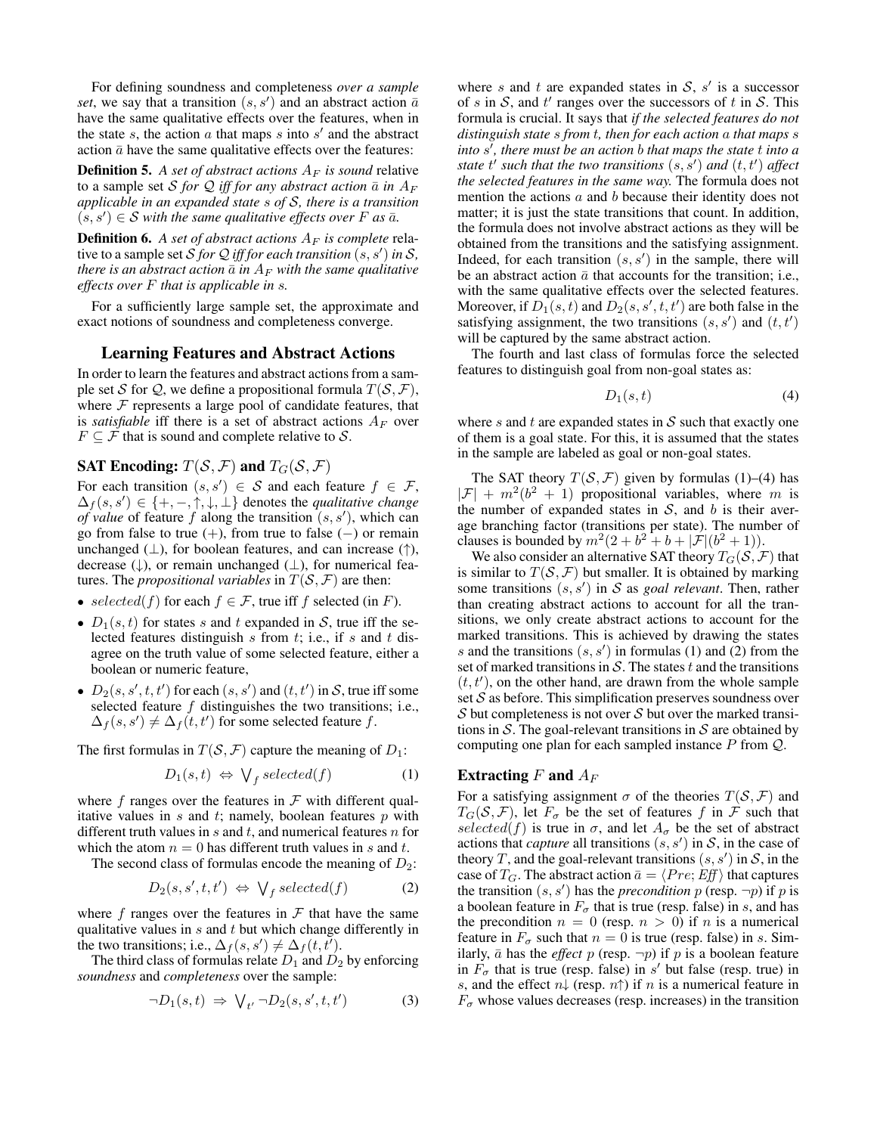For defining soundness and completeness *over a sample* set, we say that a transition  $(s, s')$  and an abstract action  $\bar{a}$ have the same qualitative effects over the features, when in the state  $s$ , the action  $a$  that maps  $s$  into  $s'$  and the abstract action  $\bar{a}$  have the same qualitative effects over the features:

**Definition 5.** A set of abstract actions  $A_F$  is sound relative to a sample set S for Q iff for any abstract action  $\bar{a}$  in  $A_F$ *applicable in an expanded state* s *of* S*, there is a transition*  $(s, s') \in S$  with the same qualitative effects over F as  $\bar{a}$ .

**Definition 6.** A set of abstract actions  $A_F$  is complete relative to a sample set  $S$  *for Q iff for each transition*  $(s, s')$  *in S*, *there is an abstract action*  $\bar{a}$  *in*  $A_F$  *with the same qualitative effects over* F *that is applicable in* s*.*

For a sufficiently large sample set, the approximate and exact notions of soundness and completeness converge.

# Learning Features and Abstract Actions

In order to learn the features and abstract actions from a sample set S for Q, we define a propositional formula  $T(S, \mathcal{F})$ , where  $F$  represents a large pool of candidate features, that is *satisfiable* iff there is a set of abstract actions  $A_F$  over  $F \subseteq \mathcal{F}$  that is sound and complete relative to  $\mathcal{S}$ .

# SAT Encoding:  $T(S, \mathcal{F})$  and  $T_G(S, \mathcal{F})$

For each transition  $(s, s') \in S$  and each feature  $f \in \mathcal{F}$ ,  $\Delta_f(s, s') \in \{+, -, \uparrow, \downarrow, \perp\}$  denotes the *qualitative change of value* of feature f along the transition  $(s, s')$ , which can go from false to true  $(+)$ , from true to false  $(-)$  or remain unchanged  $(\perp)$ , for boolean features, and can increase  $(\uparrow)$ , decrease  $(\downarrow)$ , or remain unchanged  $(\perp)$ , for numerical features. The *propositional variables* in  $T(S, \mathcal{F})$  are then:

- selected(f) for each  $f \in \mathcal{F}$ , true iff f selected (in F).
- $D_1(s, t)$  for states s and t expanded in S, true iff the selected features distinguish s from t; i.e., if s and t disagree on the truth value of some selected feature, either a boolean or numeric feature,
- $D_2(s, s', t, t')$  for each  $(s, s')$  and  $(t, t')$  in S, true iff some selected feature f distinguishes the two transitions; i.e.,  $\Delta_f(s, s') \neq \Delta_f(t, t')$  for some selected feature f.

The first formulas in  $T(S, \mathcal{F})$  capture the meaning of  $D_1$ :

$$
D_1(s,t) \Leftrightarrow \bigvee_f selected(f) \tag{1}
$$

where f ranges over the features in  $\mathcal F$  with different qualitative values in  $s$  and  $t$ ; namely, boolean features  $p$  with different truth values in  $s$  and  $t$ , and numerical features  $n$  for which the atom  $n = 0$  has different truth values in s and t.

The second class of formulas encode the meaning of  $D_2$ :

$$
D_2(s, s', t, t') \Leftrightarrow \bigvee_f selected(f) \tag{2}
$$

where  $f$  ranges over the features in  $\mathcal F$  that have the same qualitative values in  $s$  and  $t$  but which change differently in the two transitions; i.e.,  $\Delta_f(s, s') \neq \Delta_f(t, t')$ .

The third class of formulas relate  $D_1$  and  $D_2$  by enforcing *soundness* and *completeness* over the sample:

$$
\neg D_1(s,t) \Rightarrow \bigvee_{t'} \neg D_2(s,s',t,t') \tag{3}
$$

where s and t are expanded states in  $S$ , s' is a successor of s in S, and t' ranges over the successors of t in S. This formula is crucial. It says that *if the selected features do not distinguish state* s *from* t*, then for each action* a *that maps* s *into* s 0 *, there must be an action* b *that maps the state* t *into a state*  $t'$  *such that the two transitions*  $(s, s')$  *and*  $(t, t')$  *affect the selected features in the same way.* The formula does not mention the actions a and b because their identity does not matter; it is just the state transitions that count. In addition, the formula does not involve abstract actions as they will be obtained from the transitions and the satisfying assignment. Indeed, for each transition  $(s, s')$  in the sample, there will be an abstract action  $\bar{a}$  that accounts for the transition; i.e., with the same qualitative effects over the selected features. Moreover, if  $D_1(s,t)$  and  $D_2(s, s', t, t')$  are both false in the satisfying assignment, the two transitions  $(s, s')$  and  $(t, t')$ will be captured by the same abstract action.

The fourth and last class of formulas force the selected features to distinguish goal from non-goal states as:

$$
D_1(s,t) \tag{4}
$$

where s and t are expanded states in  $S$  such that exactly one of them is a goal state. For this, it is assumed that the states in the sample are labeled as goal or non-goal states.

The SAT theory  $T(S, \mathcal{F})$  given by formulas (1)–(4) has  $|\mathcal{F}| + m^2(b^2 + 1)$  propositional variables, where m is the number of expanded states in  $S$ , and b is their average branching factor (transitions per state). The number of clauses is bounded by  $m^2(2 + b^2 + b + |\mathcal{F}|(b^2 + 1)).$ 

We also consider an alternative SAT theory  $T_G(\mathcal{S}, \mathcal{F})$  that is similar to  $T(S, \mathcal{F})$  but smaller. It is obtained by marking some transitions  $(s, s')$  in S as *goal relevant*. Then, rather than creating abstract actions to account for all the transitions, we only create abstract actions to account for the marked transitions. This is achieved by drawing the states s and the transitions  $(s, s')$  in formulas (1) and (2) from the set of marked transitions in  $S$ . The states  $t$  and the transitions  $(t, t')$ , on the other hand, are drawn from the whole sample set  $S$  as before. This simplification preserves soundness over  $S$  but completeness is not over  $S$  but over the marked transitions in S. The goal-relevant transitions in S are obtained by computing one plan for each sampled instance  $P$  from  $Q$ .

# Extracting  $F$  and  $A_F$

For a satisfying assignment  $\sigma$  of the theories  $T(S, \mathcal{F})$  and  $T_G(\mathcal{S}, \mathcal{F})$ , let  $F_{\sigma}$  be the set of features f in F such that selected(f) is true in  $\sigma$ , and let  $A_{\sigma}$  be the set of abstract actions that *capture* all transitions  $(s, s')$  in S, in the case of theory T, and the goal-relevant transitions  $(s, s')$  in S, in the case of  $T_G$ . The abstract action  $\bar{a} = \langle Pre; Eff \rangle$  that captures the transition  $(s, s')$  has the *precondition* p (resp.  $\neg p$ ) if p is a boolean feature in  $F_{\sigma}$  that is true (resp. false) in s, and has the precondition  $n = 0$  (resp.  $n > 0$ ) if n is a numerical feature in  $F_{\sigma}$  such that  $n = 0$  is true (resp. false) in s. Similarly,  $\bar{a}$  has the *effect* p (resp.  $\neg p$ ) if p is a boolean feature in  $F_{\sigma}$  that is true (resp. false) in s' but false (resp. true) in s, and the effect  $n\downarrow$  (resp.  $n\uparrow$ ) if n is a numerical feature in  $F_{\sigma}$  whose values decreases (resp. increases) in the transition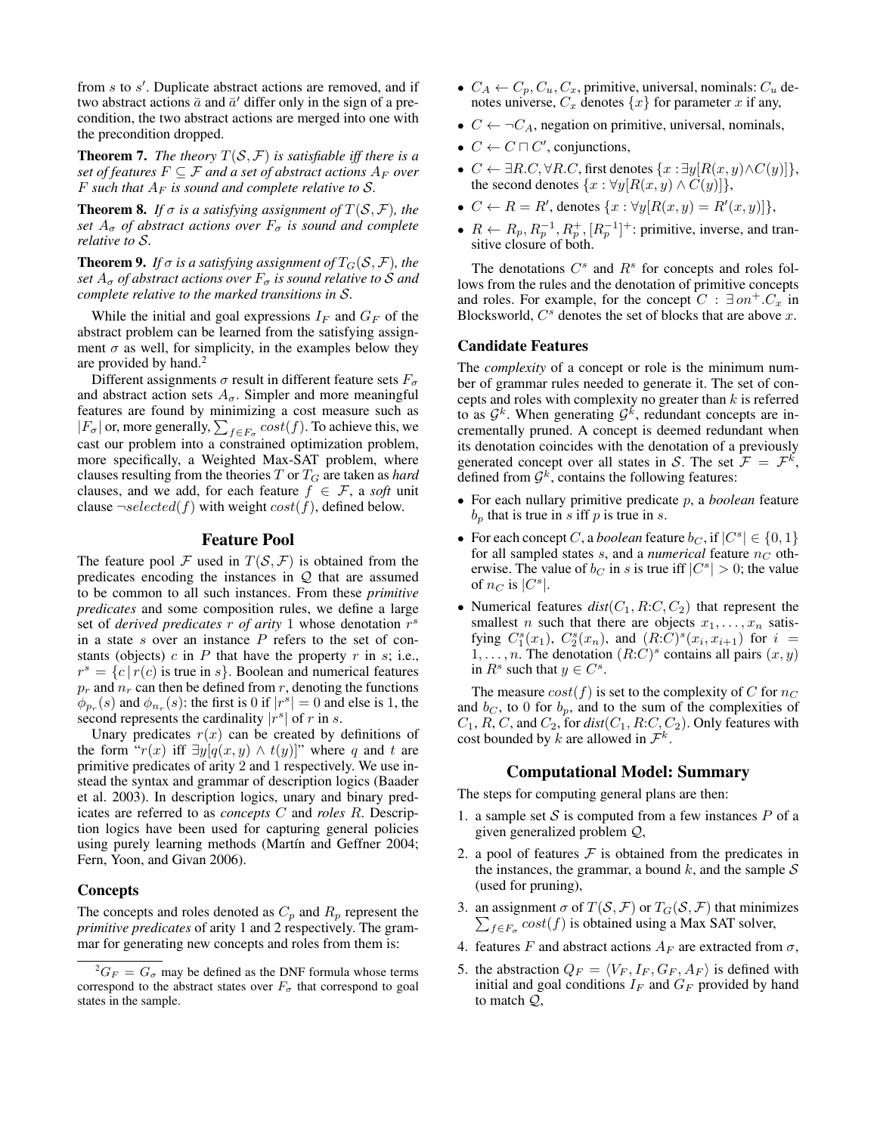from  $s$  to  $s'$ . Duplicate abstract actions are removed, and if two abstract actions  $\bar{a}$  and  $\bar{a}'$  differ only in the sign of a precondition, the two abstract actions are merged into one with the precondition dropped.

**Theorem 7.** *The theory*  $T(S, \mathcal{F})$  *is satisfiable iff there is a set of features*  $F \subseteq F$  *and a set of abstract actions*  $A_F$  *over* F such that  $A_F$  is sound and complete relative to S.

**Theorem 8.** *If*  $\sigma$  *is a satisfying assignment of*  $T(S, \mathcal{F})$ *, the set*  $A_{\sigma}$  *of abstract actions over*  $F_{\sigma}$  *is sound and complete relative to* S*.*

**Theorem 9.** *If*  $\sigma$  *is a satisfying assignment of*  $T_G(S, \mathcal{F})$ *, the set*  $A_{\sigma}$  *of abstract actions over*  $F_{\sigma}$  *is sound relative to* S *and complete relative to the marked transitions in* S*.*

While the initial and goal expressions  $I_F$  and  $G_F$  of the abstract problem can be learned from the satisfying assignment  $\sigma$  as well, for simplicity, in the examples below they are provided by hand. $<sup>2</sup>$ </sup>

Different assignments  $\sigma$  result in different feature sets  $F_{\sigma}$ and abstract action sets  $A_{\sigma}$ . Simpler and more meaningful features are found by minimizing a cost measure such as  $|F_{\sigma}|$  or, more generally,  $\sum_{f \in F_{\sigma}} cost(f)$ . To achieve this, we cast our problem into a constrained optimization problem, more specifically, a Weighted Max-SAT problem, where clauses resulting from the theories  $T$  or  $T_G$  are taken as *hard* clauses, and we add, for each feature  $f \in \mathcal{F}$ , a *soft* unit clause  $\neg selected(f)$  with weight  $cost(f)$ , defined below.

# Feature Pool

The feature pool F used in  $T(S, \mathcal{F})$  is obtained from the predicates encoding the instances in  $Q$  that are assumed to be common to all such instances. From these *primitive predicates* and some composition rules, we define a large set of *derived predicates*  $\overline{r}$  *of arity* 1 whose denotation  $\overline{r}^s$ in a state  $s$  over an instance  $P$  refers to the set of constants (objects)  $c$  in  $P$  that have the property  $r$  in  $s$ ; i.e.,  $r^s = \{c \mid r(c) \text{ is true in } s\}.$  Boolean and numerical features  $p_r$  and  $n_r$  can then be defined from r, denoting the functions  $\phi_{p_r}(s)$  and  $\phi_{n_r}(s)$ : the first is 0 if  $|r^s| = 0$  and else is 1, the second represents the cardinality  $|r^s|$  of r in s.

Unary predicates  $r(x)$  can be created by definitions of the form " $r(x)$  iff  $\exists y [q(x, y) \wedge t(y)]$ " where q and t are primitive predicates of arity 2 and 1 respectively. We use instead the syntax and grammar of description logics (Baader et al. 2003). In description logics, unary and binary predicates are referred to as *concepts* C and *roles* R. Description logics have been used for capturing general policies using purely learning methods (Martín and Geffner 2004; Fern, Yoon, and Givan 2006).

#### **Concepts**

The concepts and roles denoted as  $C_p$  and  $R_p$  represent the *primitive predicates* of arity 1 and 2 respectively. The grammar for generating new concepts and roles from them is:

- $C_A \leftarrow C_p, C_u, C_x$ , primitive, universal, nominals:  $C_u$  denotes universe,  $C_x$  denotes  $\{x\}$  for parameter x if any,
- $C \leftarrow \neg C_A$ , negation on primitive, universal, nominals,
- $C \leftarrow C \sqcap C'$ , conjunctions,
- $C \leftarrow \exists R.C, \forall R.C, \text{first denotes } \{x : \exists y [R(x, y) \land C(y)]\},\$ the second denotes  $\{x : \forall y[R(x, y) \wedge C(y)]\}$ ,
- $C \leftarrow R = R'$ , denotes  $\{x : \forall y [R(x, y) = R'(x, y)]\},\$
- $R \leftarrow R_p, R_p^{-1}, R_p^+, [R_p^{-1}]^+$ : primitive, inverse, and transitive closure of both.

The denotations  $C^s$  and  $R^s$  for concepts and roles follows from the rules and the denotation of primitive concepts and roles. For example, for the concept  $C : \exists on^+.C_x$  in Blocksworld,  $C^s$  denotes the set of blocks that are above x.

#### Candidate Features

The *complexity* of a concept or role is the minimum number of grammar rules needed to generate it. The set of concepts and roles with complexity no greater than  $k$  is referred to as  $\mathcal{G}^k$ . When generating  $\mathcal{G}^k$ , redundant concepts are incrementally pruned. A concept is deemed redundant when its denotation coincides with the denotation of a previously generated concept over all states in S. The set  $\mathcal{F} = \mathcal{F}^k$ , defined from  $\mathcal{G}^k$ , contains the following features:

- For each nullary primitive predicate p, a *boolean* feature  $b_p$  that is true in s iff p is true in s.
- For each concept *C*, a *boolean* feature  $b_C$ , if  $|C^s| \in \{0, 1\}$ for all sampled states  $s$ , and a *numerical* feature  $n<sub>C</sub>$  otherwise. The value of  $b_C$  in s is true iff  $|C^s| > 0$ ; the value of  $n_C$  is  $|C^s|$ .
- Numerical features  $dist(C_1, R:C, C_2)$  that represent the smallest *n* such that there are objects  $x_1, \ldots, x_n$  satisfying  $C_1^s(x_1)$ ,  $C_2^s(x_n)$ , and  $(R:C)^s(x_i,x_{i+1})$  for  $i =$  $1, \ldots, n$ . The denotation  $(R:C)^s$  contains all pairs  $(x, y)$ in  $R^s$  such that  $y \in C^s$ .

The measure  $cost(f)$  is set to the complexity of C for  $n_C$ and  $b_C$ , to 0 for  $b_p$ , and to the sum of the complexities of  $C_1$ , R, C, and  $C_2$ , for  $dist(C_1, R:C, C_2)$ . Only features with cost bounded by k are allowed in  $\mathcal{F}^k$ .

# Computational Model: Summary

The steps for computing general plans are then:

- 1. a sample set S is computed from a few instances  $P$  of a given generalized problem Q,
- 2. a pool of features  $\mathcal F$  is obtained from the predicates in the instances, the grammar, a bound k, and the sample  $S$ (used for pruning),
- 3. an assignment  $\sigma$  of  $T(S, \mathcal{F})$  or  $T_G(S, \mathcal{F})$  that minimizes  $\sum_{f \in F_{\sigma}} cost(f)$  is obtained using a Max SAT solver,
- 4. features F and abstract actions  $A_F$  are extracted from  $\sigma$ ,
- 5. the abstraction  $Q_F = \langle V_F, I_F, G_F, A_F \rangle$  is defined with initial and goal conditions  $I_F$  and  $G_F$  provided by hand to match Q,

 ${}^{2}G_{F} = G_{\sigma}$  may be defined as the DNF formula whose terms correspond to the abstract states over  $F_{\sigma}$  that correspond to goal states in the sample.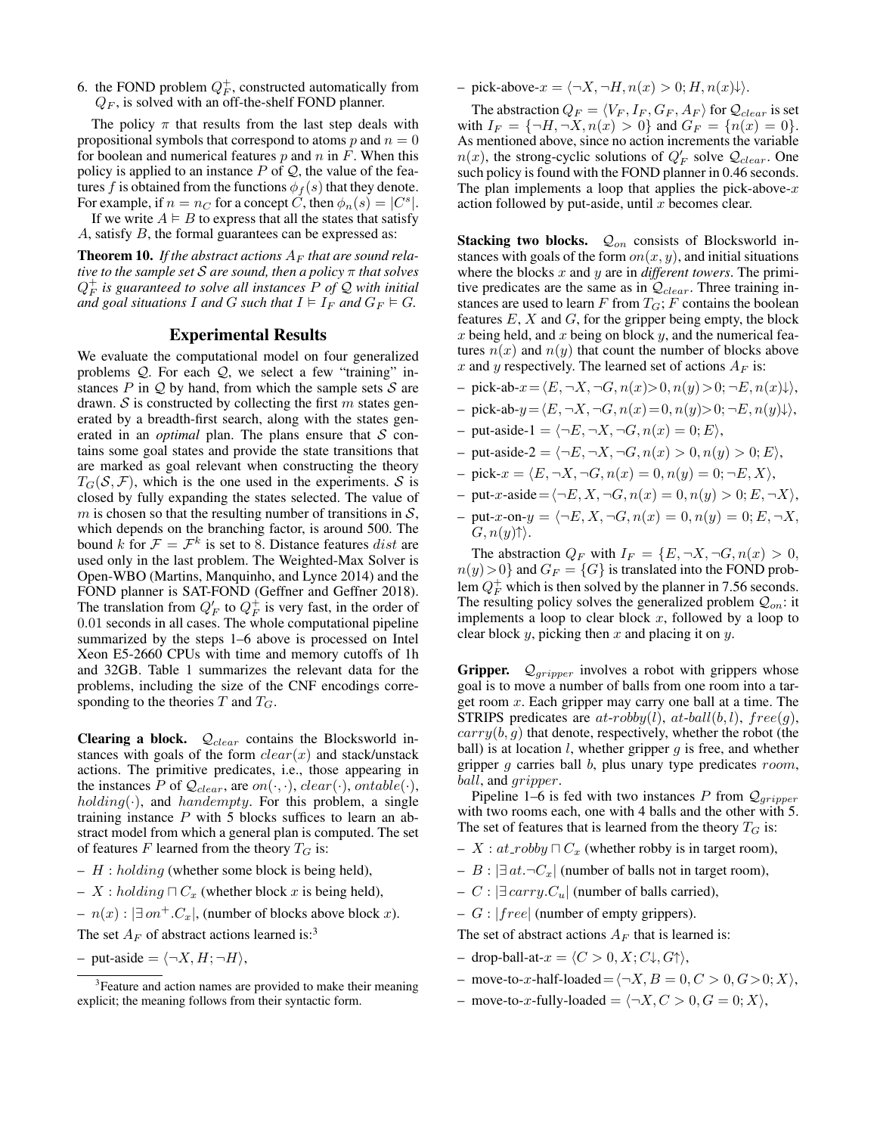6. the FOND problem  $Q_F^+$ , constructed automatically from  $Q_F$ , is solved with an off-the-shelf FOND planner.

The policy  $\pi$  that results from the last step deals with propositional symbols that correspond to atoms  $p$  and  $n = 0$ for boolean and numerical features  $p$  and  $n$  in  $F$ . When this policy is applied to an instance  $P$  of  $Q$ , the value of the features f is obtained from the functions  $\phi_f(s)$  that they denote. For example, if  $n = n_C$  for a concept  $\check{C}$ , then  $\phi_n(s) = |C^s|$ .

If we write  $A \models B$  to express that all the states that satisfy A, satisfy B, the formal guarantees can be expressed as:

**Theorem 10.** If the abstract actions  $A_F$  that are sound rela*tive to the sample set* S *are sound, then a policy* π *that solves* Q + F *is guaranteed to solve all instances* P *of* Q *with initial and goal situations* I *and* G *such that*  $I \models I_F$  *and*  $G_F \models G$ *.* 

#### Experimental Results

We evaluate the computational model on four generalized problems  $Q$ . For each  $Q$ , we select a few "training" instances  $P$  in  $Q$  by hand, from which the sample sets  $S$  are drawn. S is constructed by collecting the first m states generated by a breadth-first search, along with the states generated in an *optimal* plan. The plans ensure that  $S$  contains some goal states and provide the state transitions that are marked as goal relevant when constructing the theory  $T_G(\mathcal{S}, \mathcal{F})$ , which is the one used in the experiments.  $\mathcal S$  is closed by fully expanding the states selected. The value of m is chosen so that the resulting number of transitions in  $S$ , which depends on the branching factor, is around 500. The bound k for  $\mathcal{F} = \mathcal{F}^k$  is set to 8. Distance features dist are used only in the last problem. The Weighted-Max Solver is Open-WBO (Martins, Manquinho, and Lynce 2014) and the FOND planner is SAT-FOND (Geffner and Geffner 2018). The translation from  $Q_F^{\dagger}$  to  $Q_F^{\dagger}$  is very fast, in the order of 0.01 seconds in all cases. The whole computational pipeline summarized by the steps 1–6 above is processed on Intel Xeon E5-2660 CPUs with time and memory cutoffs of 1h and 32GB. Table 1 summarizes the relevant data for the problems, including the size of the CNF encodings corresponding to the theories  $T$  and  $T_G$ .

Clearing a block.  $Q_{clear}$  contains the Blocksworld instances with goals of the form  $clear(x)$  and stack/unstack actions. The primitive predicates, i.e., those appearing in the instances P of  $\mathcal{Q}_{clear}$ , are  $on(\cdot, \cdot)$ ,  $clear(\cdot)$ ,  $ontable(\cdot)$ ,  $holding(\cdot)$ , and  $handempty$ . For this problem, a single training instance  $P$  with 5 blocks suffices to learn an abstract model from which a general plan is computed. The set of features F learned from the theory  $T_G$  is:

- $H : holding$  (whether some block is being held),
- X : holding  $\Box C_x$  (whether block x is being held),
- $n(x)$ :  $\exists on^+.C_x$ , (number of blocks above block x).

The set  $A_F$  of abstract actions learned is:<sup>3</sup>

– put-aside =  $\langle \neg X, H; \neg H \rangle$ ,

 $-pick\text{-}above-x = \langle \neg X, \neg H, n(x) > 0; H, n(x)\rangle.$ 

The abstraction  $Q_F = \langle V_F , I_F , G_F , A_F \rangle$  for  $\mathcal{Q}_{clear}$  is set with  $I_F = \{\neg H, \neg X, n(x) > 0\}$  and  $G_F = \{n(x) = 0\}.$ As mentioned above, since no action increments the variable  $n(x)$ , the strong-cyclic solutions of  $Q'_F$  solve  $\mathcal{Q}_{clear}$ . One such policy is found with the FOND planner in 0.46 seconds. The plan implements a loop that applies the pick-above- $x$ action followed by put-aside, until  $x$  becomes clear.

Stacking two blocks.  $Q_{on}$  consists of Blocksworld instances with goals of the form  $on(x, y)$ , and initial situations where the blocks x and y are in *different towers*. The primitive predicates are the same as in  $Q_{clear}$ . Three training instances are used to learn  $F$  from  $T_G$ ;  $F$  contains the boolean features  $E$ ,  $X$  and  $G$ , for the gripper being empty, the block x being held, and x being on block  $y$ , and the numerical features  $n(x)$  and  $n(y)$  that count the number of blocks above x and y respectively. The learned set of actions  $A_F$  is:

- pick-ab- $x = \langle E, \neg X, \neg G, n(x) \rangle 0, n(y) \rangle 0; \neg E, n(x)\downarrow\rangle,$
- pick-ab- $y = \langle E, \neg X, \neg G, n(x) = 0, n(y) \rangle$ ;  $\neg E, n(y)\downarrow$ ,
- put-aside-1 =  $\langle \neg E, \neg X, \neg G, n(x) = 0; E \rangle$ ,
- put-aside-2 =  $\langle \neg E, \neg X, \neg G, n(x) > 0, n(y) > 0; E \rangle$ ,
- $-pick-x = \langle E, \neg X, \neg G, n(x) = 0, n(y) = 0; \neg E, X \rangle,$
- put-x-aside  $=\langle\neg E, X, \neg G, n(x) = 0, n(y) > 0; E, \neg X\rangle$ ,
- $-$  put-x-on- $y = \langle \neg E, X, \neg G, n(x) = 0, n(y) = 0; E, \neg X,$  $G, n(y) \uparrow$ .

The abstraction  $Q_F$  with  $I_F = \{E, \neg X, \neg G, n(x) > 0,$  $n(y) > 0$  and  $G_F = \{G\}$  is translated into the FOND problem  $Q_F^+$  which is then solved by the planner in 7.56 seconds. The resulting policy solves the generalized problem  $Q_{on}$ : it implements a loop to clear block  $x$ , followed by a loop to clear block y, picking then x and placing it on y.

**Gripper.**  $Q_{gripper}$  involves a robot with grippers whose goal is to move a number of balls from one room into a target room  $x$ . Each gripper may carry one ball at a time. The STRIPS predicates are  $at-robby(l)$ ,  $at-ball(b, l)$ ,  $free(g)$ ,  $carry(b, g)$  that denote, respectively, whether the robot (the ball) is at location  $l$ , whether gripper  $g$  is free, and whether gripper  $g$  carries ball  $b$ , plus unary type predicates  $room$ , ball, and gripper.

Pipeline 1–6 is fed with two instances P from  $Q_{gripper}$ with two rooms each, one with 4 balls and the other with 5. The set of features that is learned from the theory  $T_G$  is:

- $X : at\_robby \sqcap C_x$  (whether robby is in target room),
- B :  $\exists$  at.¬ $C_x$ | (number of balls not in target room),
- C :  $\exists carry.C_u$  (number of balls carried),
- $G$  :  $|free|$  (number of empty grippers).

The set of abstract actions  $A_F$  that is learned is:

- drop-ball-at- $x = \langle C > 0, X; C \downarrow, G \uparrow \rangle$ ,
- move-to-x-half-loaded =  $\langle \neg X, B = 0, C > 0, G > 0; X \rangle$ ,
- move-to-x-fully-loaded =  $\langle \neg X, C \rangle$  0,  $G = 0; X \rangle$ ,

<sup>&</sup>lt;sup>3</sup> Feature and action names are provided to make their meaning explicit; the meaning follows from their syntactic form.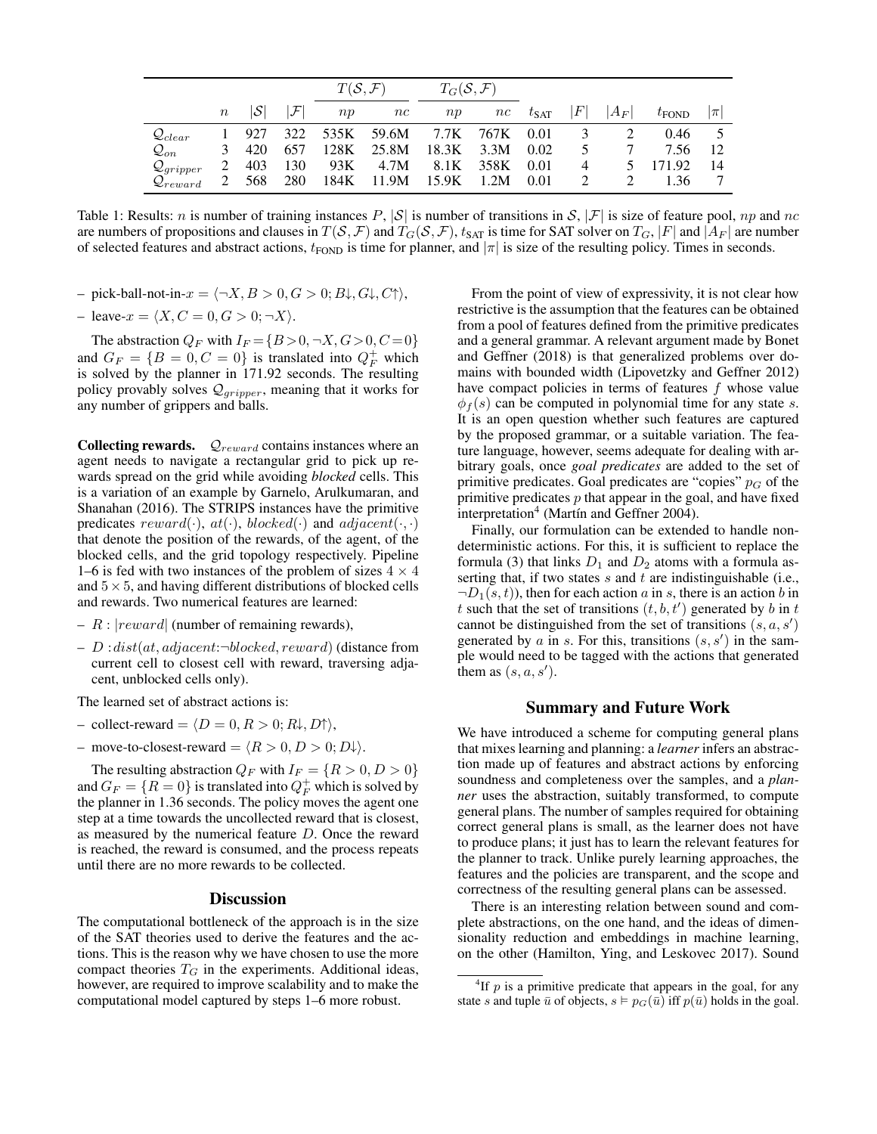|                         |       |     |              | $T(S, \mathcal{F})$ |       | $T_G(\mathcal{S},\mathcal{F})$ |      |               |   |         |                   |         |
|-------------------------|-------|-----|--------------|---------------------|-------|--------------------------------|------|---------------|---|---------|-------------------|---------|
|                         | $\,n$ | S   | $\mathcal F$ | np                  | nc    | np                             | nc   | $t_{\rm SAT}$ | F | $ A_F $ | $t_{\text{FOND}}$ | $ \pi $ |
| $\mathcal{Q}_{clear}$   |       | 927 | 322          | 535K                | 59.6M | 7.7K                           | 767K | 0.01          | 3 |         | 0.46              |         |
| $\mathcal{Q}_{on}$      | 3     | 420 | 657          | 128K                | 25.8M | 18.3K                          | 3.3M | 0.02          | 5 |         | 7.56              | 12      |
| $\mathcal{Q}_{gripper}$ |       | 403 | 130          | 93K                 | 4.7M  | 8.1K                           | 358K | 0.01          | 4 |         | 171.92            | -14     |
| $\mathcal{Q}_{reward}$  |       | 568 | 280          | 184K                | 11.9M | 15.9K                          | 1.2M | 0.01          |   |         | 1.36              |         |

Table 1: Results: n is number of training instances P,  $|S|$  is number of transitions in S,  $|\mathcal{F}|$  is size of feature pool, np and nc are numbers of propositions and clauses in  $T(S, \mathcal{F})$  and  $T_G(S, \mathcal{F})$ ,  $t_{SAT}$  is time for SAT solver on  $T_G$ ,  $|F|$  and  $|A_F|$  are number of selected features and abstract actions,  $t_{FOND}$  is time for planner, and  $|\pi|$  is size of the resulting policy. Times in seconds.

- pick-ball-not-in- $x = \langle \neg X, B \rangle > 0, G \rangle$ ,  $B\downarrow$ ,  $G\downarrow$ ,  $C\uparrow$ ),
- leave- $x = \langle X, C = 0, G > 0; \neg X \rangle$ .

The abstraction  $Q_F$  with  $I_F = \{B > 0, \neg X, G > 0, C = 0\}$ and  $G_F = \{B = 0, C = 0\}$  is translated into  $Q_F^+$  which is solved by the planner in 171.92 seconds. The resulting policy provably solves  $\mathcal{Q}_{gripper}$ , meaning that it works for any number of grippers and balls.

**Collecting rewards.**  $Q_{reward}$  contains instances where an agent needs to navigate a rectangular grid to pick up rewards spread on the grid while avoiding *blocked* cells. This is a variation of an example by Garnelo, Arulkumaran, and Shanahan (2016). The STRIPS instances have the primitive predicates  $reward(\cdot), at(\cdot), blocked(\cdot)$  and  $adjacent(\cdot, \cdot)$ that denote the position of the rewards, of the agent, of the blocked cells, and the grid topology respectively. Pipeline 1–6 is fed with two instances of the problem of sizes  $4 \times 4$ and  $5\times 5$ , and having different distributions of blocked cells and rewards. Two numerical features are learned:

- $R : |reward|$  (number of remaining rewards),
- $D:dist(at, adjacent; \neg blocked, reward)$  (distance from current cell to closest cell with reward, traversing adjacent, unblocked cells only).

The learned set of abstract actions is:

- collect-reward =  $\langle D = 0, R > 0; R \downarrow, D \uparrow \rangle$ ,
- move-to-closest-reward =  $\langle R > 0, D > 0; D \rangle$ .

The resulting abstraction  $Q_F$  with  $I_F = \{R > 0, D > 0\}$ and  $G_F = \{R = 0\}$  is translated into  $Q_F^+$  which is solved by the planner in 1.36 seconds. The policy moves the agent one step at a time towards the uncollected reward that is closest, as measured by the numerical feature D. Once the reward is reached, the reward is consumed, and the process repeats until there are no more rewards to be collected.

## **Discussion**

The computational bottleneck of the approach is in the size of the SAT theories used to derive the features and the actions. This is the reason why we have chosen to use the more compact theories  $T_G$  in the experiments. Additional ideas, however, are required to improve scalability and to make the computational model captured by steps 1–6 more robust.

From the point of view of expressivity, it is not clear how restrictive is the assumption that the features can be obtained from a pool of features defined from the primitive predicates and a general grammar. A relevant argument made by Bonet and Geffner (2018) is that generalized problems over domains with bounded width (Lipovetzky and Geffner 2012) have compact policies in terms of features  $f$  whose value  $\phi_f(s)$  can be computed in polynomial time for any state s. It is an open question whether such features are captured by the proposed grammar, or a suitable variation. The feature language, however, seems adequate for dealing with arbitrary goals, once *goal predicates* are added to the set of primitive predicates. Goal predicates are "copies"  $p<sub>G</sub>$  of the primitive predicates  $p$  that appear in the goal, and have fixed interpretation<sup>4</sup> (Martín and Geffner 2004).

Finally, our formulation can be extended to handle nondeterministic actions. For this, it is sufficient to replace the formula (3) that links  $D_1$  and  $D_2$  atoms with a formula asserting that, if two states s and t are indistinguishable (i.e.,  $\neg D_1(s, t)$ , then for each action a in s, there is an action b in t such that the set of transitions  $(t, b, t')$  generated by b in t cannot be distinguished from the set of transitions  $(s, a, s')$ generated by  $\alpha$  in  $s$ . For this, transitions  $(s, s')$  in the sample would need to be tagged with the actions that generated them as  $(s, a, s')$ .

# Summary and Future Work

We have introduced a scheme for computing general plans that mixes learning and planning: a *learner* infers an abstraction made up of features and abstract actions by enforcing soundness and completeness over the samples, and a *planner* uses the abstraction, suitably transformed, to compute general plans. The number of samples required for obtaining correct general plans is small, as the learner does not have to produce plans; it just has to learn the relevant features for the planner to track. Unlike purely learning approaches, the features and the policies are transparent, and the scope and correctness of the resulting general plans can be assessed.

There is an interesting relation between sound and complete abstractions, on the one hand, and the ideas of dimensionality reduction and embeddings in machine learning, on the other (Hamilton, Ying, and Leskovec 2017). Sound

<sup>&</sup>lt;sup>4</sup>If  $p$  is a primitive predicate that appears in the goal, for any state s and tuple  $\bar{u}$  of objects,  $s \vDash p_G(\bar{u})$  iff  $p(\bar{u})$  holds in the goal.